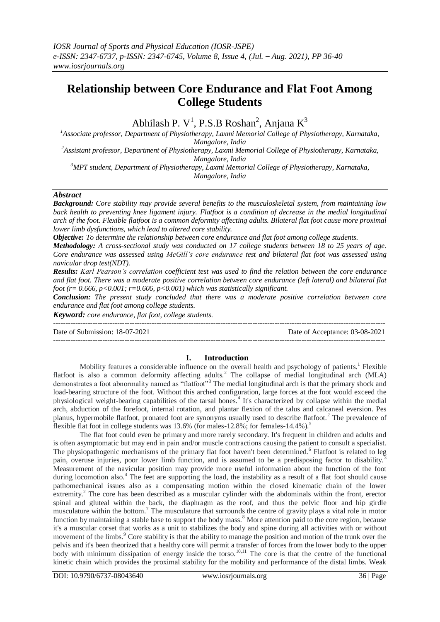# **Relationship between Core Endurance and Flat Foot Among College Students**

Abhilash P. V<sup>1</sup>, P.S.B Roshan<sup>2</sup>, Anjana K<sup>3</sup>

*<sup>1</sup>Associate professor, Department of Physiotherapy, Laxmi Memorial College of Physiotherapy, Karnataka, Mangalore, India*

*<sup>2</sup>Assistant professor, Department of Physiotherapy, Laxmi Memorial College of Physiotherapy, Karnataka, Mangalore, India*

*<sup>3</sup>MPT student, Department of Physiotherapy, Laxmi Memorial College of Physiotherapy, Karnataka, Mangalore, India*

# *Abstract*

*Background: Core stability may provide several benefits to the musculoskeletal system, from maintaining low back health to preventing knee ligament injury. Flatfoot is a condition of decrease in the medial longitudinal arch of the foot. Flexible flatfoot is a common deformity affecting adults. Bilateral flat foot cause more proximal lower limb dysfunctions, which lead to altered core stability.*

*Objective: To determine the relationship between core endurance and flat foot among college students.* 

*Methodology: A cross-sectional study was conducted on 17 college students between 18 to 25 years of age. Core endurance was assessed using McGill's core endurance test and bilateral flat foot was assessed using navicular drop test(NDT).* 

*Results: Karl Pearson's correlation coefficient test was used to find the relation between the core endurance and flat foot. There was a moderate positive correlation between core endurance (left lateral) and bilateral flat foot (r= 0.666, p<0.001; r=0.606, p<0.001) which was statistically significant.* 

*Conclusion: The present study concluded that there was a moderate positive correlation between core endurance and flat foot among college students.*

*Keyword: core endurance, flat foot, college students.*

Date of Submission: 18-07-2021 Date of Acceptance: 03-08-2021

---------------------------------------------------------------------------------------------------------------------------------------

## **I. Introduction**

Mobility features a considerable influence on the overall health and psychology of patients.<sup>1</sup> Flexible flatfoot is also a common deformity affecting adults.<sup>2</sup> The collapse of medial longitudinal arch (MLA) demonstrates a foot abnormality named as "flatfoot"<sup>3</sup> The medial longitudinal arch is that the primary shock and load-bearing structure of the foot. Without this arched configuration, large forces at the foot would exceed the physiological weight-bearing capabilities of the tarsal bones.<sup>4</sup> It's characterized by collapse within the medial arch, abduction of the forefoot, internal rotation, and plantar flexion of the talus and calcaneal eversion. Pes planus, hypermobile flatfoot, pronated foot are synonyms usually used to describe flatfoot.<sup>2</sup> The prevalence of flexible flat foot in college students was  $13.6\%$  (for males-12.8%; for females-14.4%).<sup>5</sup>

The flat foot could even be primary and more rarely secondary. It's frequent in children and adults and is often asymptomatic but may end in pain and/or muscle contractions causing the patient to consult a specialist. The physiopathogenic mechanisms of the primary flat foot haven't been determined.<sup>6</sup> Flatfoot is related to leg pain, overuse injuries, poor lower limb function, and is assumed to be a predisposing factor to disability.<sup>3</sup> Measurement of the navicular position may provide more useful information about the function of the foot during locomotion also.<sup>4</sup> The feet are supporting the load, the instability as a result of a flat foot should cause pathomechanical issues also as a compensating motion within the closed kinematic chain of the lower extremity.<sup>2</sup> The core has been described as a muscular cylinder with the abdominals within the front, erector spinal and gluteal within the back, the diaphragm as the roof, and thus the pelvic floor and hip girdle musculature within the bottom.<sup>7</sup> The musculature that surrounds the centre of gravity plays a vital role in motor function by maintaining a stable base to support the body mass.<sup>8</sup> More attention paid to the core region, because it's a muscular corset that works as a unit to stabilizes the body and spine during all activities with or without movement of the limbs.<sup>9</sup> Core stability is that the ability to manage the position and motion of the trunk over the pelvis and it's been theorized that a healthy core will permit a transfer of forces from the lower body to the upper body with minimum dissipation of energy inside the torso.<sup>10,11</sup> The core is that the centre of the functional kinetic chain which provides the proximal stability for the mobility and performance of the distal limbs. Weak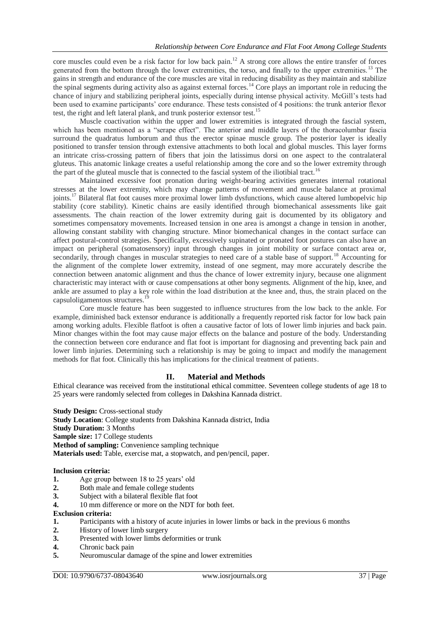core muscles could even be a risk factor for low back pain.<sup>12</sup> A strong core allows the entire transfer of forces generated from the bottom through the lower extremities, the torso, and finally to the upper extremities.<sup>13</sup> The gains in strength and endurance of the core muscles are vital in reducing disability as they maintain and stabilize the spinal segments during activity also as against external forces.<sup>14</sup> Core plays an important role in reducing the chance of injury and stabilizing peripheral joints, especially during intense physical activity. McGill's tests had been used to examine participants' core endurance. These tests consisted of 4 positions: the trunk anterior flexor test, the right and left lateral plank, and trunk posterior extensor test.<sup>15</sup>

Muscle coactivation within the upper and lower extremities is integrated through the fascial system, which has been mentioned as a "serape effect". The anterior and middle layers of the thoracolumbar fascia surround the quadratus lumborum and thus the erector spinae muscle group. The posterior layer is ideally positioned to transfer tension through extensive attachments to both local and global muscles. This layer forms an intricate criss-crossing pattern of fibers that join the latissimus dorsi on one aspect to the contralateral gluteus. This anatomic linkage creates a useful relationship among the core and so the lower extremity through the part of the gluteal muscle that is connected to the fascial system of the iliotibial tract.<sup>16</sup>

Maintained excessive foot pronation during weight-bearing activities generates internal rotational stresses at the lower extremity, which may change patterns of movement and muscle balance at proximal joints.<sup>17</sup> Bilateral flat foot causes more proximal lower limb dysfunctions, which cause altered lumbopelvic hip stability (core stability). Kinetic chains are easily identified through biomechanical assessments like gait assessments. The chain reaction of the lower extremity during gait is documented by its obligatory and sometimes compensatory movements. Increased tension in one area is amongst a change in tension in another, allowing constant stability with changing structure. Minor biomechanical changes in the contact surface can affect postural-control strategies. Specifically, excessively supinated or pronated foot postures can also have an impact on peripheral (somatosensory) input through changes in joint mobility or surface contact area or, secondarily, through changes in muscular strategies to need care of a stable base of support.<sup>18</sup> Accounting for the alignment of the complete lower extremity, instead of one segment, may more accurately describe the connection between anatomic alignment and thus the chance of lower extremity injury, because one alignment characteristic may interact with or cause compensations at other bony segments. Alignment of the hip, knee, and ankle are assumed to play a key role within the load distribution at the knee and, thus, the strain placed on the capsuloligamentous structures.<sup>19</sup>

Core muscle feature has been suggested to influence structures from the low back to the ankle. For example, diminished back extensor endurance is additionally a frequently reported risk factor for low back pain among working adults. Flexible flatfoot is often a causative factor of lots of lower limb injuries and back pain. Minor changes within the foot may cause major effects on the balance and posture of the body. Understanding the connection between core endurance and flat foot is important for diagnosing and preventing back pain and lower limb injuries. Determining such a relationship is may be going to impact and modify the management methods for flat foot. Clinically this has implications for the clinical treatment of patients.

## **II. Material and Methods**

Ethical clearance was received from the institutional ethical committee. Seventeen college students of age 18 to 25 years were randomly selected from colleges in Dakshina Kannada district.

**Study Design:** Cross-sectional study **Study Location**: College students from Dakshina Kannada district, India **Study Duration:** 3 Months **Sample size:** 17 College students **Method of sampling:** Convenience sampling technique **Materials used:** Table, exercise mat, a stopwatch, and pen/pencil, paper.

## **Inclusion criteria:**

- **1.** Age group between 18 to 25 years' old
- **2.** Both male and female college students
- **3.** Subject with a bilateral flexible flat foot
- **4.** 10 mm difference or more on the NDT for both feet.

#### **Exclusion criteria:**

- **1.** Participants with a history of acute injuries in lower limbs or back in the previous 6 months
- **2.** History of lower limb surgery
- **3.** Presented with lower limbs deformities or trunk
- **4.** Chronic back pain
- **5.** Neuromuscular damage of the spine and lower extremities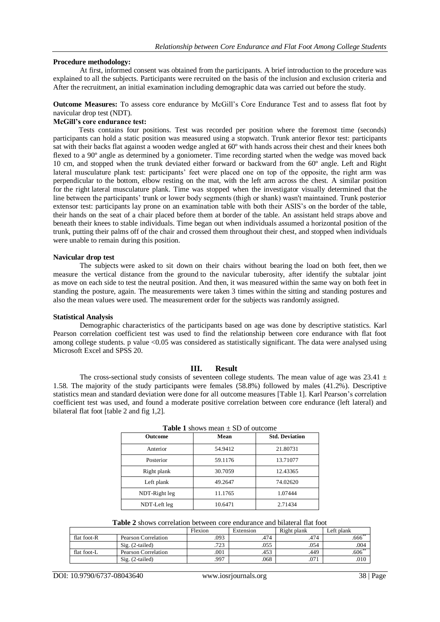### **Procedure methodology:**

At first, informed consent was obtained from the participants. A brief introduction to the procedure was explained to all the subjects. Participants were recruited on the basis of the inclusion and exclusion criteria and After the recruitment, an initial examination including demographic data was carried out before the study.

**Outcome Measures:** To assess core endurance by McGill's Core Endurance Test and to assess flat foot by navicular drop test (NDT).

# **McGill's core endurance test:**

 Tests contains four positions. Test was recorded per position where the foremost time (seconds) participants can hold a static position was measured using a stopwatch. Trunk anterior flexor test: participants sat with their backs flat against a wooden wedge angled at 60º with hands across their chest and their knees both flexed to a 90º angle as determined by a goniometer. Time recording started when the wedge was moved back 10 cm, and stopped when the trunk deviated either forward or backward from the 60º angle. Left and Right lateral musculature plank test: participants' feet were placed one on top of the opposite, the right arm was perpendicular to the bottom, elbow resting on the mat, with the left arm across the chest. A similar position for the right lateral musculature plank. Time was stopped when the investigator visually determined that the line between the participants' trunk or lower body segments (thigh or shank) wasn't maintained. Trunk posterior extensor test: participants lay prone on an examination table with both their ASIS's on the border of the table, their hands on the seat of a chair placed before them at border of the table. An assistant held straps above and beneath their knees to stable individuals. Time began out when individuals assumed a horizontal position of the trunk, putting their palms off of the chair and crossed them throughout their chest, and stopped when individuals were unable to remain during this position.

### **Navicular drop test**

The subjects were asked to sit down on their chairs without bearing the load on both feet, then we measure the vertical distance from the ground to the navicular tuberosity, after identify the subtalar joint as move on each side to test the neutral position. And then, it was measured within the same way on both feet in standing the posture, again. The measurements were taken 3 times within the sitting and standing postures and also the mean values were used. The measurement order for the subjects was randomly assigned.

#### **Statistical Analysis**

Demographic characteristics of the participants based on age was done by descriptive statistics. Karl Pearson correlation coefficient test was used to find the relationship between core endurance with flat foot among college students. p value <0.05 was considered as statistically significant. The data were analysed using Microsoft Excel and SPSS 20.

# **III. Result**

The cross-sectional study consists of seventeen college students. The mean value of age was 23.41  $\pm$ 1.58. The majority of the study participants were females (58.8%) followed by males (41.2%). Descriptive statistics mean and standard deviation were done for all outcome measures [Table 1]. Karl Pearson's correlation coefficient test was used, and found a moderate positive correlation between core endurance (left lateral) and bilateral flat foot [table 2 and fig 1,2].

| <b>Outcome</b> | Mean    | <b>Std. Deviation</b> |  |  |
|----------------|---------|-----------------------|--|--|
| Anterior       | 54.9412 | 21.80731              |  |  |
| Posterior      | 59.1176 | 13.71077              |  |  |
| Right plank    | 30.7059 | 12.43365              |  |  |
| Left plank     | 49.2647 | 74.02620              |  |  |
| NDT-Right leg  | 11.1765 | 1.07444               |  |  |
| NDT-Left leg   | 10.6471 | 2.71434               |  |  |

|  |  |  |  | <b>Table 1</b> shows mean $\pm$ SD of outcome |  |
|--|--|--|--|-----------------------------------------------|--|
|--|--|--|--|-----------------------------------------------|--|

|  |  |  | <b>Table 2</b> shows correlation between core endurance and bilateral flat foot |  |  |  |  |
|--|--|--|---------------------------------------------------------------------------------|--|--|--|--|
|--|--|--|---------------------------------------------------------------------------------|--|--|--|--|

|             |                     | Flexion     | Extension | Right plank | eft plank   |
|-------------|---------------------|-------------|-----------|-------------|-------------|
| flat foot-R | Pearson Correlation | .093        | .474      | .474        | $.666^{**}$ |
|             | $Sig. (2-tailed)$   | 723<br>دے ہ | .055      | .054        | .004        |
| flat foot-L | Pearson Correlation | .001        | .453      | .449        | $.606**$    |
|             | $Sig. (2-tailed)$   | .997        | .068      | .071        | .010        |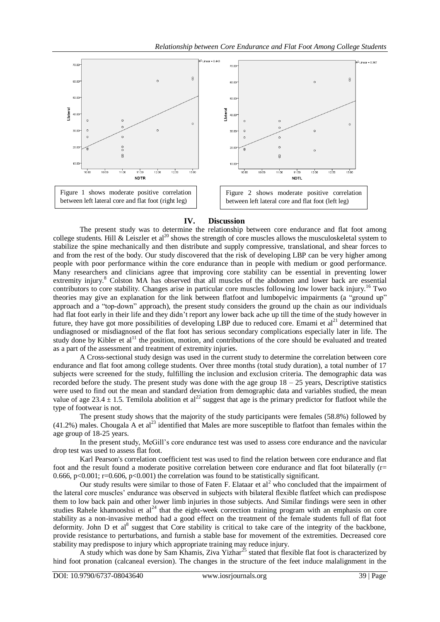



# **IV. Discussion**

The present study was to determine the relationship between core endurance and flat foot among college students. Hill & Leiszler et al<sup>20</sup> shows the strength of core muscles allows the musculoskeletal system to stabilize the spine mechanically and then distribute and supply compressive, translational, and shear forces to and from the rest of the body. Our study discovered that the risk of developing LBP can be very higher among people with poor performance within the core endurance than in people with medium or good performance. Many researchers and clinicians agree that improving core stability can be essential in preventing lower extremity injury.<sup>8</sup> Colston MA has observed that all muscles of the abdomen and lower back are essential contributors to core stability. Changes arise in particular core muscles following low lower back injury.<sup>16</sup> Two theories may give an explanation for the link between flatfoot and lumbopelvic impairments (a "ground up" approach and a "top-down" approach), the present study considers the ground up the chain as our individuals had flat foot early in their life and they didn't report any lower back ache up till the time of the study however in future, they have got more possibilities of developing LBP due to reduced core. Emami et al<sup>21</sup> determined that undiagnosed or misdiagnosed of the flat foot has serious secondary complications especially later in life. The study done by Kibler et al<sup>11</sup> the position, motion, and contributions of the core should be evaluated and treated as a part of the assessment and treatment of extremity injuries.

A Cross-sectional study design was used in the current study to determine the correlation between core endurance and flat foot among college students. Over three months (total study duration), a total number of 17 subjects were screened for the study, fulfilling the inclusion and exclusion criteria. The demographic data was recorded before the study. The present study was done with the age group  $18 - 25$  years, Descriptive statistics were used to find out the mean and standard deviation from demographic data and variables studied, the mean value of age 23.4  $\pm$  1.5. Temilola abolition et al<sup>22</sup> suggest that age is the primary predictor for flatfoot while the type of footwear is not.

The present study shows that the majority of the study participants were females (58.8%) followed by  $(41.2\%)$  males. Chougala A et al<sup>23</sup> identified that Males are more susceptible to flatfoot than females within the age group of 18-25 years.

In the present study, McGill's core endurance test was used to assess core endurance and the navicular drop test was used to assess flat foot.

Karl Pearson's correlation coefficient test was used to find the relation between core endurance and flat foot and the result found a moderate positive correlation between core endurance and flat foot bilaterally (r= 0.666, p<0.001; r=0.606, p<0.001) the correlation was found to be statistically significant.

Our study results were similar to those of Faten F. Elataar et al<sup>2</sup> who concluded that the impairment of the lateral core muscles' endurance was observed in subjects with bilateral flexible flatfeet which can predispose them to low back pain and other lower limb injuries in those subjects. And Similar findings were seen in other studies Rahele khamooshsi et  $al^{24}$  that the eight-week correction training program with an emphasis on core stability as a non-invasive method had a good effect on the treatment of the female students full of flat foot deformity. John D et al<sup>8</sup> suggest that Core stability is critical to take care of the integrity of the backbone, provide resistance to perturbations, and furnish a stable base for movement of the extremities. Decreased core stability may predispose to injury which appropriate training may reduce injury.

A study which was done by Sam Khamis, Ziva Yizhar<sup>25</sup> stated that flexible flat foot is characterized by hind foot pronation (calcaneal eversion). The changes in the structure of the feet induce malalignment in the